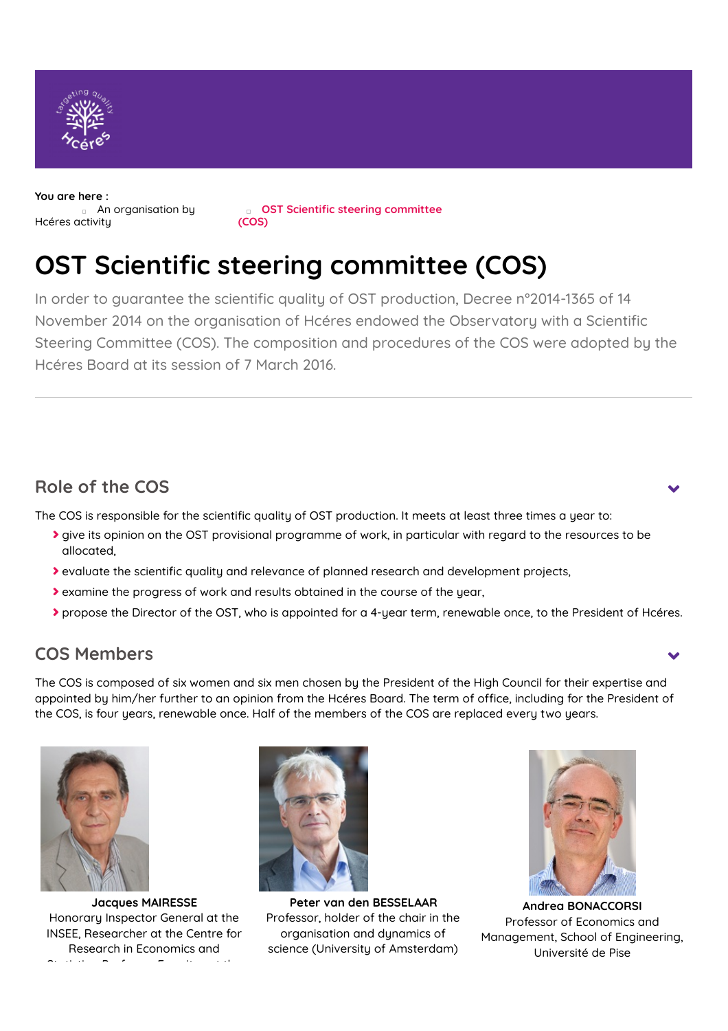

**You are here :** [Hcéres](https://www.hceres.fr/en/node/1272) activity **An [organisation](https://www.hceres.fr/en/organisation-activity) by** 

**OST Scientic steering committee (COS)**

# **OST Scientic steering committee (COS)**

In order to guarantee the scientific quality of OST production, Decree n°2014-1365 of 14 November 2014 on the organisation of Hcéres endowed the Observatory with a Scientific Steering Committee (COS). The composition and procedures of the COS were adopted by the Hcéres Board at its session of 7 March 2016.

## **Role of the COS**

The COS is responsible for the scientific quality of OST production. It meets at least three times a year to:

- **>** give its opinion on the OST provisional programme of work, in particular with regard to the resources to be allocated,
- If evaluate the scientific quality and relevance of planned research and development projects,
- examine the progress of work and results obtained in the course of the year,
- propose the Director of the OST, who is appointed for a 4-year term, renewable once, to the President of Hcéres.

## **COS Members**

The COS is composed of six women and six men chosen by the President of the High Council for their expertise and appointed by him/her further to an opinion from the Hcéres Board. The term of office, including for the President of the COS, is four years, renewable once. Half of the members of the COS are replaced every two years.



**Jacques MAIRESSE** Honorary Inspector General at the INSEE, Researcher at the Centre for Research in Economics and Statistics, Professor Emeritus at the



**Peter van den BESSELAAR** Professor, holder of the chair in the organisation and dynamics of science (University of Amsterdam)



**Andrea BONACCORSI** Professor of Economics and Management, School of Engineering, Université de Pise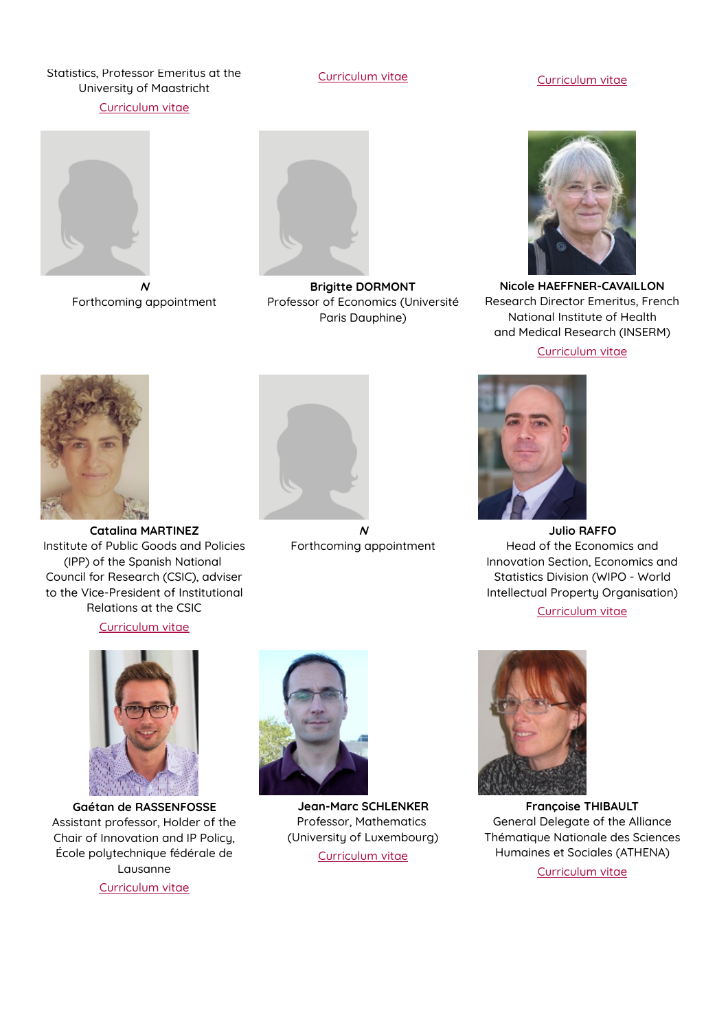#### Statistics, Professor Emeritus at the University of Maastricht

[Curriculum](https://www.hceres.fr/sites/default/files/media/downloads/cos_ost_cv_jacquesmairesse.pdf) vitae

### [Curriculum](https://www.hceres.fr/sites/default/files/media/downloads/cos_ost_cv_andrea_bonaccorsi.pdf) vitae Curriculum vitae



**N** Forthcoming appointment



**Brigitte DORMONT** Professor of Economics (Université Paris Dauphine)



**Nicole HAEFFNER-CAVAILLON** Research Director Emeritus, French National Institute of Health and Medical Research (INSERM) [Curriculum](https://www.hceres.fr/sites/default/files/media/downloads/cos_ost_cv_nicole_haeffner_cavaillon.pdf) vitae



**Catalina MARTINEZ** Institute of Public Goods and Policies (IPP) of the Spanish National Council for Research (CSIC), adviser to the Vice-President of Institutional Relations at the CSIC

#### [Curriculum](https://www.hceres.fr/sites/default/files/media/downloads/cos_ost_cv_catalina_martinez_0.pdf) vitae



**Gaétan de RASSENFOSSE** Assistant professor, Holder of the Chair of Innovation and IP Policy, École polytechnique fédérale de Lausanne

[Curriculum](https://www.hceres.fr/sites/default/files/media/downloads/cos_ost_cv_gaetan_derassenfosse.pdf) vitae



**N** Forthcoming appointment



**Julio RAFFO** Head of the Economics and Innovation Section, Economics and Statistics Division (WIPO - World Intellectual Property Organisation)

[Curriculum](https://www.hceres.fr/sites/default/files/media/downloads/cos_ost_cv_julio_raffo.pdf) vitae



**Jean-Marc SCHLENKER** Professor, Mathematics (University of Luxembourg) [Curriculum](https://www.hceres.fr/sites/default/files/media/downloads/cos_ost_cv_jeanmarc_schlenker.pdf) vitae



**Françoise THIBAULT** General Delegate of the Alliance Thématique Nationale des Sciences Humaines et Sociales (ATHENA) [Curriculum](https://www.hceres.fr/sites/default/files/media/downloads/cos_ost_cv_francoise_thibault.pdf) vitae